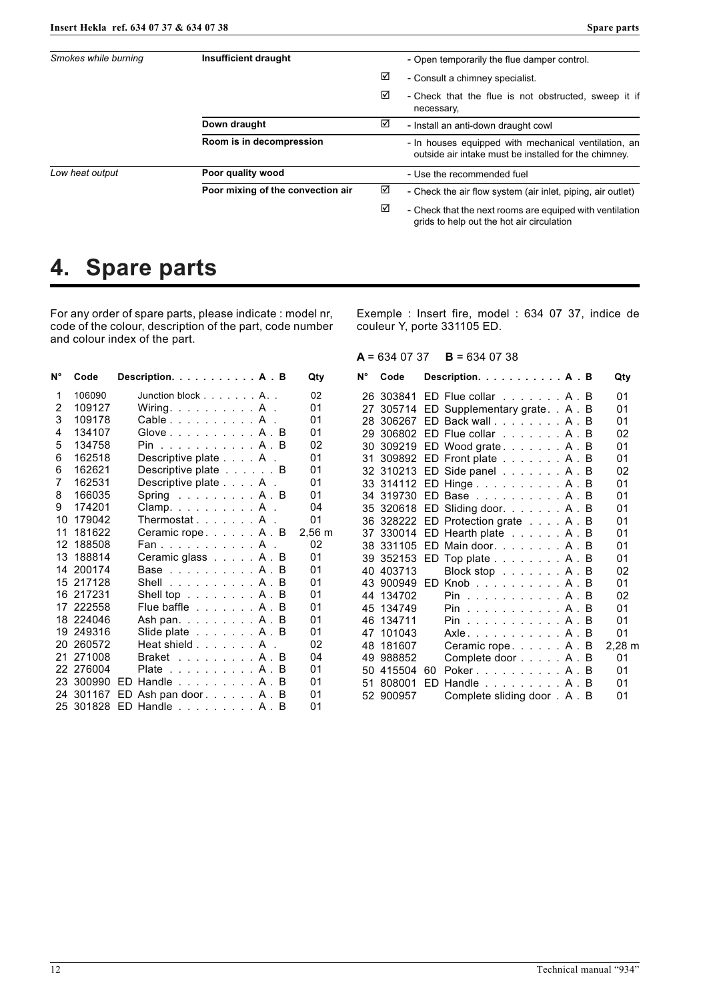| Smokes while burning | Insufficient draught                     |   | - Open temporarily the flue damper control.                                                                   |  |  |
|----------------------|------------------------------------------|---|---------------------------------------------------------------------------------------------------------------|--|--|
|                      |                                          | ☑ | - Consult a chimney specialist.                                                                               |  |  |
|                      |                                          | ☑ | - Check that the flue is not obstructed, sweep it if<br>necessary,                                            |  |  |
|                      | Down draught<br>Room is in decompression |   | - Install an anti-down draught cowl                                                                           |  |  |
|                      |                                          |   | - In houses equipped with mechanical ventilation, an<br>outside air intake must be installed for the chimney. |  |  |
| Low heat output      | Poor quality wood                        |   | - Use the recommended fuel                                                                                    |  |  |
|                      | Poor mixing of the convection air        | ☑ | - Check the air flow system (air inlet, piping, air outlet)                                                   |  |  |
|                      |                                          | ☑ | - Check that the next rooms are equiped with ventilation<br>grids to help out the hot air circulation         |  |  |

## **4. Spare parts**

For any order of spare parts, please indicate : model nr, code of the colour, description of the part, code number and colour index of the part.

| N° | Code      | Description. A . B                      | Qty         | N°  | Code         | Description. A . B                            | Qty            |
|----|-----------|-----------------------------------------|-------------|-----|--------------|-----------------------------------------------|----------------|
|    | 106090    | Junction block $\ldots$ A. .            | 02          |     |              | 26 303841 ED Flue collar A . B                | 01             |
| 2  | 109127    | Wiring. $\dots$ $\dots$ $\dots$ $A$ .   | 01          |     |              | 305714 ED Supplementary grate. . A . B        | 01             |
| 3  | 109178    | Cable A .                               | 01          |     |              | 28 306267 ED Back wall. A . B                 | 0 <sub>1</sub> |
| 4  | 134107    | Glove $A \cdot B$                       | 01          | 29. |              | 306802 ED Flue collar A . B                   | 02             |
| 5  | 134758    | Pin A . B                               | 02          |     |              | 30 309219 ED Wood grate. A . B                | 01             |
| 6  | 162518    | Descriptive plate A .                   | 01          |     |              | 31 309892 ED Front plate A . B                | 01             |
| 6  | 162621    | Descriptive plate B                     | 01          |     |              | 32 310213 ED Side panel A . B                 | 02             |
| 7  | 162531    | Descriptive plate A .                   | 01          |     |              | 33 314112 ED Hinge A. B                       | 01             |
| 8  | 166035    | Spring $\ldots \ldots \ldots$ A . B     | 01          |     |              | 34 319730 ED Base A . B                       | 01             |
| 9  | 174201    | Clamp. $\ldots$ $\ldots$ $\ldots$ $A$ . | 04          |     |              | 35 320618 ED Sliding door. A . B              | 01             |
| 10 | 179042    | Thermostat A .                          | 01          |     |              | 36 328222 ED Protection grate A . B           | 01             |
| 11 | 181622    | Ceramic rope A. B                       | $2,56 \; m$ | 37. |              | 330014 ED Hearth plate A . B                  | 01             |
|    | 12 188508 | Fan. A.                                 | 02          |     |              | 38 331105 ED Main door. A . B                 | 01             |
| 13 | 188814    | Ceramic glass A . B                     | 01          |     |              | 39 352153 ED Top plate A . B                  | 01             |
|    | 14 200174 | Base A . B                              | 01          |     | 40 403713    | Block stop A . B                              | 02             |
|    | 15 217128 | Shell A . B                             | 01          |     | 43 900949 ED | $K$ nob $A \cdot B$                           | 01             |
|    | 16 217231 | Shell top A . B                         | 01          |     | 44 134702    | Pin A . B                                     | 02             |
|    | 17 222558 | Flue baffle A . B                       | 01          |     | 45 134749    | $Pin \ldots \ldots \ldots \ldots A$ . B       | 01             |
|    | 18 224046 | Ash pan. A . B                          | 01          |     | 46 134711    | $Pin \ldots \ldots \ldots \ldots A$ . B       | 01             |
|    | 19 249316 | Slide plate A . B                       | 01          |     | 47 101043    | Axle. $\dots$ . $\dots$ . $\dots$ . $A$ . $B$ | 01             |
|    | 20 260572 | Heat shield A .                         | 02          |     | 48 181607    | Ceramic rope. A . B                           | 2,28           |
|    | 21 271008 | Braket A . B                            | 04          | 49  | 988852       | Complete door A . B                           | 01             |
|    | 22 276004 | Plate A . B                             | 01          | 50  | 415504 60    | Poker. A . B                                  | 01             |
|    | 23 300990 | ED Handle A . B                         | 01          | 51  | 808001       | ED<br>Handle A . B                            | 01             |
|    | 24 301167 | ED Ash pan door. A . B                  | 01          |     | 52 900957    | Complete sliding door . A. B                  | 01             |
|    |           | 25 301828 ED Handle A . B               | 01          |     |              |                                               |                |

Exemple : Insert fire, model : 634 07 37, indice de couleur Y, porte 331105 ED.

## **A** = 634 07 37 **B** = 634 07 38

| N° | Code      | Description. A . B                                 |   | Qty    |
|----|-----------|----------------------------------------------------|---|--------|
| 26 |           | 303841 ED Flue collar A . B                        |   | 01     |
| 27 | 305714    | ED Supplementary grate. . A . B                    |   | 01     |
| 28 | 306267    | ED Back wall A . B                                 |   | 01     |
| 29 |           | 306802 ED Flue collar A . B                        |   | 02     |
| 30 |           | 309219 ED Wood grate A. B                          |   | 01     |
| 31 |           | 309892 ED Front plate A . B                        |   | 01     |
|    |           | 32 310213 ED Side panel A . B                      |   | 02     |
|    |           | 33 314112 ED Hinge A. B                            |   | 01     |
|    |           | 34 319730 ED Base A . B                            |   | 01     |
|    |           | 35 320618 ED Sliding door. A . B                   |   | 01     |
|    |           | 36 328222 ED Protection grate A . B                |   | 01     |
| 37 |           | 330014 ED Hearth plate A . B                       |   | 01     |
| 38 | 331105    | ED Main door. A . B                                |   | 01     |
|    |           | 39 352153 ED Top plate A . B                       |   | 01     |
| 40 | 403713    | Block stop A . B                                   |   | 02     |
|    |           | 43 900949 ED Knob A . B                            |   | 01     |
| 44 | 134702    | $Pin \ldots \ldots \ldots \ldots A$ .              | B | 02     |
| 45 | 134749    | $Pin$ $A$ .                                        | B | 01     |
| 46 | 134711    | $Pin$ $A$ .                                        | B | 01     |
| 47 | 101043    | Axle. A.                                           | B | 01     |
| 48 | 181607    | Ceramic rope A.                                    | B | 2,28 m |
| 49 | 988852    | Complete door A . B                                |   | 01     |
| 50 | 415504    | 60<br>Poker. $\dots$ . $\dots$ . $\dots$ . $A$ . B |   | 01     |
| 51 | 808001    | FD.<br>Handle A . B                                |   | 01     |
|    | 52 900957 | Complete sliding door . A. B                       |   | 01     |